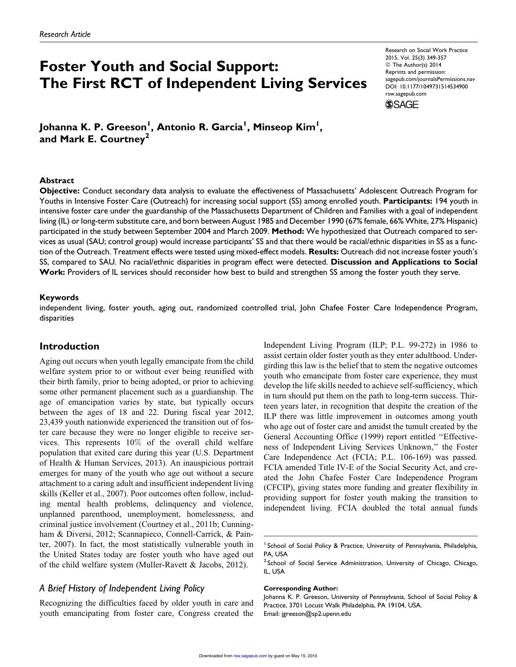# Foster Youth and Social Support: The First RCT of Independent Living Services

Research on Social Work Practice 2015, Vol. 25(3) 349-357 © The Author(s) 2014 Reprints and permission: sagepub.com/journalsPermissions.nav DOI: 10.1177/1049731514534900 rsw.sagepub.com



Johanna K. P. Greeson<sup>।</sup>, Antonio R. Garcia<sup>।</sup>, Minseop Kim<sup>।</sup>, and Mark E. Courtney<sup>2</sup>

## Abstract

Objective: Conduct secondary data analysis to evaluate the effectiveness of Massachusetts' Adolescent Outreach Program for Youths in Intensive Foster Care (Outreach) for increasing social support (SS) among enrolled youth. Participants: 194 youth in intensive foster care under the guardianship of the Massachusetts Department of Children and Families with a goal of independent living (IL) or long-term substitute care, and born between August 1985 and December 1990 (67% female, 66% White, 27% Hispanic) participated in the study between September 2004 and March 2009. Method: We hypothesized that Outreach compared to services as usual (SAU; control group) would increase participants' SS and that there would be racial/ethnic disparities in SS as a function of the Outreach. Treatment effects were tested using mixed-effect models. Results: Outreach did not increase foster youth's SS, compared to SAU. No racial/ethnic disparities in program effect were detected. Discussion and Applications to Social Work: Providers of IL services should reconsider how best to build and strengthen SS among the foster youth they serve.

#### Keywords

independent living, foster youth, aging out, randomized controlled trial, John Chafee Foster Care Independence Program, disparities

# Introduction

Aging out occurs when youth legally emancipate from the child welfare system prior to or without ever being reunified with their birth family, prior to being adopted, or prior to achieving some other permanent placement such as a guardianship. The age of emancipation varies by state, but typically occurs between the ages of 18 and 22. During fiscal year 2012, 23,439 youth nationwide experienced the transition out of foster care because they were no longer eligible to receive services. This represents 10% of the overall child welfare population that exited care during this year (U.S. Department of Health & Human Services, 2013). An inauspicious portrait emerges for many of the youth who age out without a secure attachment to a caring adult and insufficient independent living skills (Keller et al., 2007). Poor outcomes often follow, including mental health problems, delinquency and violence, unplanned parenthood, unemployment, homelessness, and criminal justice involvement (Courtney et al., 2011b; Cunningham & Diversi, 2012; Scannapieco, Connell-Carrick, & Painter, 2007). In fact, the most statistically vulnerable youth in the United States today are foster youth who have aged out of the child welfare system (Muller-Ravett & Jacobs, 2012).

# A Brief History of Independent Living Policy

Recognizing the difficulties faced by older youth in care and youth emancipating from foster care, Congress created the Independent Living Program (ILP; P.L. 99-272) in 1986 to assist certain older foster youth as they enter adulthood. Undergirding this law is the belief that to stem the negative outcomes youth who emancipate from foster care experience, they must develop the life skills needed to achieve self-sufficiency, which in turn should put them on the path to long-term success. Thirteen years later, in recognition that despite the creation of the ILP there was little improvement in outcomes among youth who age out of foster care and amidst the tumult created by the General Accounting Office (1999) report entitled ''Effectiveness of Independent Living Services Unknown,'' the Foster Care Independence Act (FCIA; P.L. 106-169) was passed. FCIA amended Title IV-E of the Social Security Act, and created the John Chafee Foster Care Independence Program (CFCIP), giving states more funding and greater flexibility in providing support for foster youth making the transition to independent living. FCIA doubled the total annual funds

#### Corresponding Author:

<sup>&</sup>lt;sup>1</sup> School of Social Policy & Practice, University of Pennsylvania, Philadelphia, PA, USA

<sup>&</sup>lt;sup>2</sup> School of Social Service Administration, University of Chicago, Chicago, IL, USA

Johanna K. P. Greeson, University of Pennsylvania, School of Social Policy & Practice, 3701 Locust Walk Philadelphia, PA 19104, USA. Email: jgreeson@sp2.upenn.edu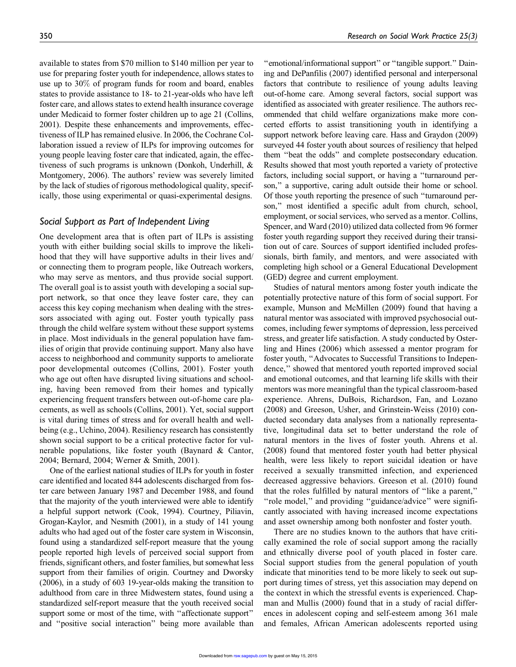available to states from \$70 million to \$140 million per year to use for preparing foster youth for independence, allows states to use up to 30% of program funds for room and board, enables states to provide assistance to 18- to 21-year-olds who have left foster care, and allows states to extend health insurance coverage under Medicaid to former foster children up to age 21 (Collins, 2001). Despite these enhancements and improvements, effectiveness of ILP has remained elusive. In 2006, the Cochrane Collaboration issued a review of ILPs for improving outcomes for young people leaving foster care that indicated, again, the effectiveness of such programs is unknown (Donkoh, Underhill, & Montgomery, 2006). The authors' review was severely limited by the lack of studies of rigorous methodological quality, specifically, those using experimental or quasi-experimental designs.

# Social Support as Part of Independent Living

One development area that is often part of ILPs is assisting youth with either building social skills to improve the likelihood that they will have supportive adults in their lives and/ or connecting them to program people, like Outreach workers, who may serve as mentors, and thus provide social support. The overall goal is to assist youth with developing a social support network, so that once they leave foster care, they can access this key coping mechanism when dealing with the stressors associated with aging out. Foster youth typically pass through the child welfare system without these support systems in place. Most individuals in the general population have families of origin that provide continuing support. Many also have access to neighborhood and community supports to ameliorate poor developmental outcomes (Collins, 2001). Foster youth who age out often have disrupted living situations and schooling, having been removed from their homes and typically experiencing frequent transfers between out-of-home care placements, as well as schools (Collins, 2001). Yet, social support is vital during times of stress and for overall health and wellbeing (e.g., Uchino, 2004). Resiliency research has consistently shown social support to be a critical protective factor for vulnerable populations, like foster youth (Baynard & Cantor, 2004; Bernard, 2004; Werner & Smith, 2001).

One of the earliest national studies of ILPs for youth in foster care identified and located 844 adolescents discharged from foster care between January 1987 and December 1988, and found that the majority of the youth interviewed were able to identify a helpful support network (Cook, 1994). Courtney, Piliavin, Grogan-Kaylor, and Nesmith (2001), in a study of 141 young adults who had aged out of the foster care system in Wisconsin, found using a standardized self-report measure that the young people reported high levels of perceived social support from friends, significant others, and foster families, but somewhat less support from their families of origin. Courtney and Dworsky (2006), in a study of 603 19-year-olds making the transition to adulthood from care in three Midwestern states, found using a standardized self-report measure that the youth received social support some or most of the time, with "affectionate support" and ''positive social interaction'' being more available than

''emotional/informational support'' or ''tangible support.'' Daining and DePanfilis (2007) identified personal and interpersonal factors that contribute to resilience of young adults leaving out-of-home care. Among several factors, social support was identified as associated with greater resilience. The authors recommended that child welfare organizations make more concerted efforts to assist transitioning youth in identifying a support network before leaving care. Hass and Graydon (2009) surveyed 44 foster youth about sources of resiliency that helped them ''beat the odds'' and complete postsecondary education. Results showed that most youth reported a variety of protective factors, including social support, or having a ''turnaround person," a supportive, caring adult outside their home or school. Of those youth reporting the presence of such ''turnaround person,'' most identified a specific adult from church, school, employment, or social services, who served as a mentor. Collins, Spencer, and Ward (2010) utilized data collected from 96 former foster youth regarding support they received during their transition out of care. Sources of support identified included professionals, birth family, and mentors, and were associated with completing high school or a General Educational Development (GED) degree and current employment.

Studies of natural mentors among foster youth indicate the potentially protective nature of this form of social support. For example, Munson and McMillen (2009) found that having a natural mentor was associated with improved psychosocial outcomes, including fewer symptoms of depression, less perceived stress, and greater life satisfaction. A study conducted by Osterling and Hines (2006) which assessed a mentor program for foster youth, ''Advocates to Successful Transitions to Independence,'' showed that mentored youth reported improved social and emotional outcomes, and that learning life skills with their mentors was more meaningful than the typical classroom-based experience. Ahrens, DuBois, Richardson, Fan, and Lozano (2008) and Greeson, Usher, and Grinstein-Weiss (2010) conducted secondary data analyses from a nationally representative, longitudinal data set to better understand the role of natural mentors in the lives of foster youth. Ahrens et al. (2008) found that mentored foster youth had better physical health, were less likely to report suicidal ideation or have received a sexually transmitted infection, and experienced decreased aggressive behaviors. Greeson et al. (2010) found that the roles fulfilled by natural mentors of ''like a parent,'' "role model," and providing "guidance/advice" were significantly associated with having increased income expectations and asset ownership among both nonfoster and foster youth.

There are no studies known to the authors that have critically examined the role of social support among the racially and ethnically diverse pool of youth placed in foster care. Social support studies from the general population of youth indicate that minorities tend to be more likely to seek out support during times of stress, yet this association may depend on the context in which the stressful events is experienced. Chapman and Mullis (2000) found that in a study of racial differences in adolescent coping and self-esteem among 361 male and females, African American adolescents reported using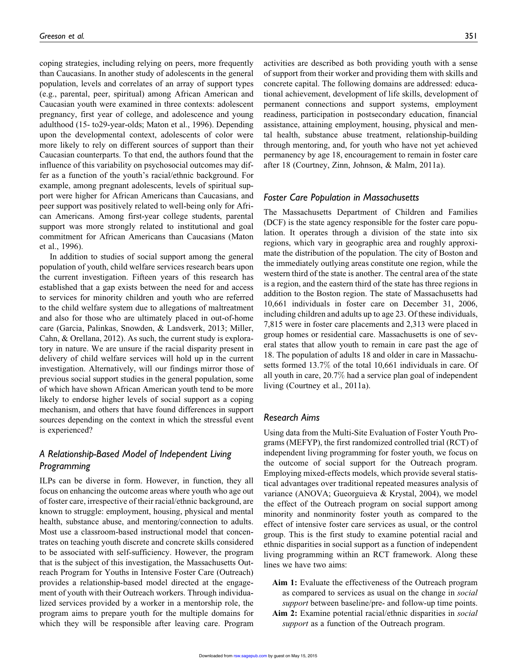coping strategies, including relying on peers, more frequently than Caucasians. In another study of adolescents in the general population, levels and correlates of an array of support types (e.g., parental, peer, spiritual) among African American and Caucasian youth were examined in three contexts: adolescent pregnancy, first year of college, and adolescence and young adulthood (15- to29-year-olds; Maton et al., 1996). Depending upon the developmental context, adolescents of color were more likely to rely on different sources of support than their Caucasian counterparts. To that end, the authors found that the influence of this variability on psychosocial outcomes may differ as a function of the youth's racial/ethnic background. For example, among pregnant adolescents, levels of spiritual support were higher for African Americans than Caucasians, and peer support was positively related to well-being only for African Americans. Among first-year college students, parental support was more strongly related to institutional and goal commitment for African Americans than Caucasians (Maton et al., 1996).

In addition to studies of social support among the general population of youth, child welfare services research bears upon the current investigation. Fifteen years of this research has established that a gap exists between the need for and access to services for minority children and youth who are referred to the child welfare system due to allegations of maltreatment and also for those who are ultimately placed in out-of-home care (Garcia, Palinkas, Snowden, & Landsverk, 2013; Miller, Cahn, & Orellana, 2012). As such, the current study is exploratory in nature. We are unsure if the racial disparity present in delivery of child welfare services will hold up in the current investigation. Alternatively, will our findings mirror those of previous social support studies in the general population, some of which have shown African American youth tend to be more likely to endorse higher levels of social support as a coping mechanism, and others that have found differences in support sources depending on the context in which the stressful event is experienced?

# A Relationship-Based Model of Independent Living Programming

ILPs can be diverse in form. However, in function, they all focus on enhancing the outcome areas where youth who age out of foster care, irrespective of their racial/ethnic background, are known to struggle: employment, housing, physical and mental health, substance abuse, and mentoring/connection to adults. Most use a classroom-based instructional model that concentrates on teaching youth discrete and concrete skills considered to be associated with self-sufficiency. However, the program that is the subject of this investigation, the Massachusetts Outreach Program for Youths in Intensive Foster Care (Outreach) provides a relationship-based model directed at the engagement of youth with their Outreach workers. Through individualized services provided by a worker in a mentorship role, the program aims to prepare youth for the multiple domains for which they will be responsible after leaving care. Program

activities are described as both providing youth with a sense of support from their worker and providing them with skills and concrete capital. The following domains are addressed: educational achievement, development of life skills, development of permanent connections and support systems, employment readiness, participation in postsecondary education, financial assistance, attaining employment, housing, physical and mental health, substance abuse treatment, relationship-building through mentoring, and, for youth who have not yet achieved permanency by age 18, encouragement to remain in foster care after 18 (Courtney, Zinn, Johnson, & Malm, 2011a).

#### Foster Care Population in Massachusetts

The Massachusetts Department of Children and Families (DCF) is the state agency responsible for the foster care population. It operates through a division of the state into six regions, which vary in geographic area and roughly approximate the distribution of the population. The city of Boston and the immediately outlying areas constitute one region, while the western third of the state is another. The central area of the state is a region, and the eastern third of the state has three regions in addition to the Boston region. The state of Massachusetts had 10,661 individuals in foster care on December 31, 2006, including children and adults up to age 23. Of these individuals, 7,815 were in foster care placements and 2,313 were placed in group homes or residential care. Massachusetts is one of several states that allow youth to remain in care past the age of 18. The population of adults 18 and older in care in Massachusetts formed 13.7% of the total 10,661 individuals in care. Of all youth in care, 20.7% had a service plan goal of independent living (Courtney et al., 2011a).

#### Research Aims

Using data from the Multi-Site Evaluation of Foster Youth Programs (MEFYP), the first randomized controlled trial (RCT) of independent living programming for foster youth, we focus on the outcome of social support for the Outreach program. Employing mixed-effects models, which provide several statistical advantages over traditional repeated measures analysis of variance (ANOVA; Gueorguieva & Krystal, 2004), we model the effect of the Outreach program on social support among minority and nonminority foster youth as compared to the effect of intensive foster care services as usual, or the control group. This is the first study to examine potential racial and ethnic disparities in social support as a function of independent living programming within an RCT framework. Along these lines we have two aims:

Aim 1: Evaluate the effectiveness of the Outreach program as compared to services as usual on the change in social support between baseline/pre- and follow-up time points. Aim 2: Examine potential racial/ethnic disparities in social support as a function of the Outreach program.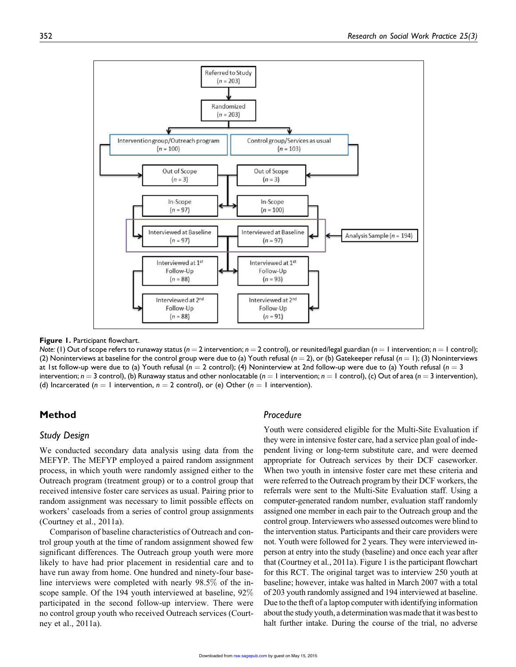

#### Figure 1. Participant flowchart.

Note: (1) Out of scope refers to runaway status ( $n = 2$  intervention;  $n = 2$  control), or reunited/legal guardian ( $n = 1$  intervention;  $n = 1$  control); (2) Noninterviews at baseline for the control group were due to (a) Youth refusal ( $n = 2$ ), or (b) Gatekeeper refusal ( $n = 1$ ); (3) Noninterviews at 1st follow-up were due to (a) Youth refusal ( $n = 2$  control); (4) Noninterview at 2nd follow-up were due to (a) Youth refusal ( $n = 3$ intervention;  $n = 3$  control), (b) Runaway status and other nonlocatable ( $n = 1$  intervention;  $n = 1$  control), (c) Out of area ( $n = 3$  intervention), (d) Incarcerated (n = 1 intervention,  $n = 2$  control), or (e) Other (n = 1 intervention).

# Method

## Study Design

We conducted secondary data analysis using data from the MEFYP. The MEFYP employed a paired random assignment process, in which youth were randomly assigned either to the Outreach program (treatment group) or to a control group that received intensive foster care services as usual. Pairing prior to random assignment was necessary to limit possible effects on workers' caseloads from a series of control group assignments (Courtney et al., 2011a).

Comparison of baseline characteristics of Outreach and control group youth at the time of random assignment showed few significant differences. The Outreach group youth were more likely to have had prior placement in residential care and to have run away from home. One hundred and ninety-four baseline interviews were completed with nearly 98.5% of the inscope sample. Of the 194 youth interviewed at baseline, 92% participated in the second follow-up interview. There were no control group youth who received Outreach services (Courtney et al., 2011a).

# Procedure

Youth were considered eligible for the Multi-Site Evaluation if they were in intensive foster care, had a service plan goal of independent living or long-term substitute care, and were deemed appropriate for Outreach services by their DCF caseworker. When two youth in intensive foster care met these criteria and were referred to the Outreach program by their DCF workers, the referrals were sent to the Multi-Site Evaluation staff. Using a computer-generated random number, evaluation staff randomly assigned one member in each pair to the Outreach group and the control group. Interviewers who assessed outcomes were blind to the intervention status. Participants and their care providers were not. Youth were followed for 2 years. They were interviewed inperson at entry into the study (baseline) and once each year after that (Courtney et al., 2011a). Figure 1 is the participant flowchart for this RCT. The original target was to interview 250 youth at baseline; however, intake was halted in March 2007 with a total of 203 youth randomly assigned and 194 interviewed at baseline. Due to the theft of a laptop computer with identifying information about the study youth, a determination was made that it was best to halt further intake. During the course of the trial, no adverse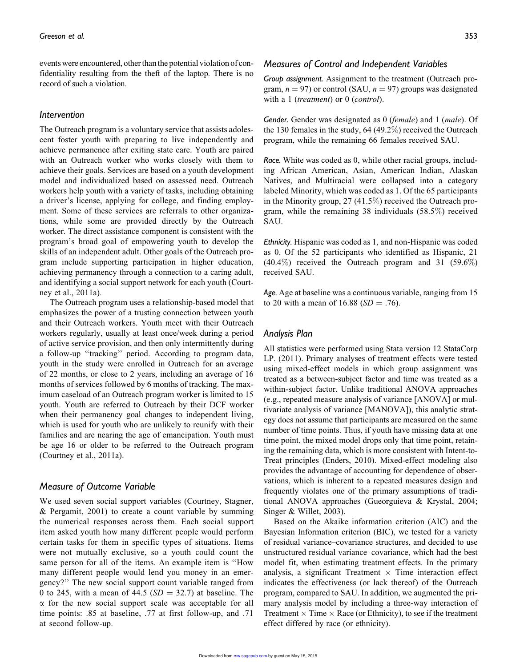events were encountered, other than the potential violation of confidentiality resulting from the theft of the laptop. There is no record of such a violation.

#### Intervention

The Outreach program is a voluntary service that assists adolescent foster youth with preparing to live independently and achieve permanence after exiting state care. Youth are paired with an Outreach worker who works closely with them to achieve their goals. Services are based on a youth development model and individualized based on assessed need. Outreach workers help youth with a variety of tasks, including obtaining a driver's license, applying for college, and finding employment. Some of these services are referrals to other organizations, while some are provided directly by the Outreach worker. The direct assistance component is consistent with the program's broad goal of empowering youth to develop the skills of an independent adult. Other goals of the Outreach program include supporting participation in higher education, achieving permanency through a connection to a caring adult, and identifying a social support network for each youth (Courtney et al., 2011a).

The Outreach program uses a relationship-based model that emphasizes the power of a trusting connection between youth and their Outreach workers. Youth meet with their Outreach workers regularly, usually at least once/week during a period of active service provision, and then only intermittently during a follow-up ''tracking'' period. According to program data, youth in the study were enrolled in Outreach for an average of 22 months, or close to 2 years, including an average of 16 months of services followed by 6 months of tracking. The maximum caseload of an Outreach program worker is limited to 15 youth. Youth are referred to Outreach by their DCF worker when their permanency goal changes to independent living, which is used for youth who are unlikely to reunify with their families and are nearing the age of emancipation. Youth must be age 16 or older to be referred to the Outreach program (Courtney et al., 2011a).

## Measure of Outcome Variable

We used seven social support variables (Courtney, Stagner, & Pergamit, 2001) to create a count variable by summing the numerical responses across them. Each social support item asked youth how many different people would perform certain tasks for them in specific types of situations. Items were not mutually exclusive, so a youth could count the same person for all of the items. An example item is ''How many different people would lend you money in an emergency?'' The new social support count variable ranged from 0 to 245, with a mean of 44.5  $(SD = 32.7)$  at baseline. The  $\alpha$  for the new social support scale was acceptable for all time points: .85 at baseline, .77 at first follow-up, and .71 at second follow-up.

# Measures of Control and Independent Variables

Group assignment. Assignment to the treatment (Outreach program,  $n = 97$ ) or control (SAU,  $n = 97$ ) groups was designated with a 1 *(treatment)* or 0 *(control)*.

Gender. Gender was designated as 0 (female) and 1 (male). Of the 130 females in the study, 64 (49.2%) received the Outreach program, while the remaining 66 females received SAU.

Race. White was coded as 0, while other racial groups, including African American, Asian, American Indian, Alaskan Natives, and Multiracial were collapsed into a category labeled Minority, which was coded as 1. Of the 65 participants in the Minority group, 27 (41.5%) received the Outreach program, while the remaining 38 individuals (58.5%) received SAU.

Ethnicity. Hispanic was coded as 1, and non-Hispanic was coded as 0. Of the 52 participants who identified as Hispanic, 21 (40.4%) received the Outreach program and 31 (59.6%) received SAU.

Age. Age at baseline was a continuous variable, ranging from 15 to 20 with a mean of 16.88 ( $SD = .76$ ).

#### Analysis Plan

All statistics were performed using Stata version 12 StataCorp LP. (2011). Primary analyses of treatment effects were tested using mixed-effect models in which group assignment was treated as a between-subject factor and time was treated as a within-subject factor. Unlike traditional ANOVA approaches (e.g., repeated measure analysis of variance [ANOVA] or multivariate analysis of variance [MANOVA]), this analytic strategy does not assume that participants are measured on the same number of time points. Thus, if youth have missing data at one time point, the mixed model drops only that time point, retaining the remaining data, which is more consistent with Intent-to-Treat principles (Enders, 2010). Mixed-effect modeling also provides the advantage of accounting for dependence of observations, which is inherent to a repeated measures design and frequently violates one of the primary assumptions of traditional ANOVA approaches (Gueorguieva & Krystal, 2004; Singer & Willet, 2003).

Based on the Akaike information criterion (AIC) and the Bayesian Information criterion (BIC), we tested for a variety of residual variance–covariance structures, and decided to use unstructured residual variance–covariance, which had the best model fit, when estimating treatment effects. In the primary analysis, a significant Treatment  $\times$  Time interaction effect indicates the effectiveness (or lack thereof) of the Outreach program, compared to SAU. In addition, we augmented the primary analysis model by including a three-way interaction of Treatment  $\times$  Time  $\times$  Race (or Ethnicity), to see if the treatment effect differed by race (or ethnicity).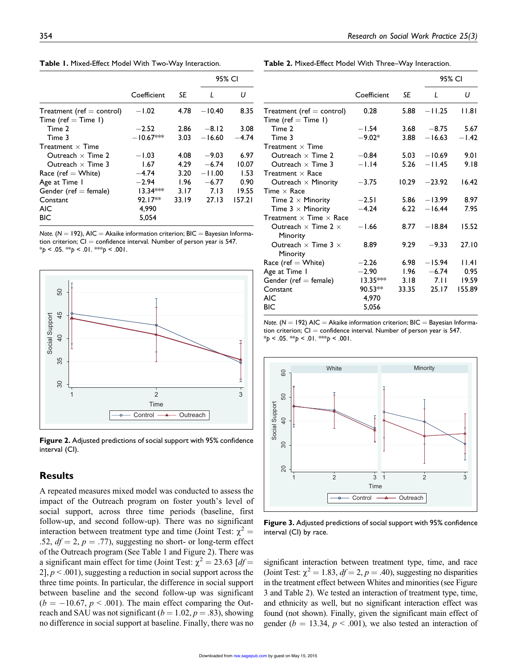Table 1. Mixed-Effect Model With Two-Way Interaction.

|                             |             |       |          | 95% CI  |  |
|-----------------------------|-------------|-------|----------|---------|--|
|                             | Coefficient | SF    | L        | U       |  |
| Treatment (ref $=$ control) | $-1.02$     | 4.78  | $-10.40$ | 8.35    |  |
| Time (ref $=$ Time 1)       |             |       |          |         |  |
| Time 2                      | $-2.52$     | 2.86  | $-8.12$  | 3.08    |  |
| Time 3                      | $-10.67***$ | 3.03  | $-16.60$ | $-4.74$ |  |
| Treatment $\times$ Time     |             |       |          |         |  |
| Outreach $\times$ Time 2    | $-1.03$     | 4.08  | $-9.03$  | 6.97    |  |
| Outreach $\times$ Time 3    | 1.67        | 4.29  | $-6.74$  | 10.07   |  |
| Race (ref $=$ White)        | $-4.74$     | 3.20  | $-11.00$ | 1.53    |  |
| Age at Time 1               | $-2.94$     | 1.96  | $-6.77$  | 0.90    |  |
| Gender (ref $=$ female)     | $13.34***$  | 3.17  | 7.13     | 19.55   |  |
| Constant                    | $92.17**$   | 33.19 | 27.13    | 157.21  |  |
| <b>AIC</b>                  | 4,990       |       |          |         |  |
| <b>BIC</b>                  | 5.054       |       |          |         |  |

Note. ( $N = 192$ ), AIC = Akaike information criterion; BIC = Bayesian Information criterion;  $CI =$  confidence interval. Number of person year is 547.  $*_{p}$  < .05.  $*_{p}$  < .01.  $*_{p}$  < .001.



Figure 2. Adjusted predictions of social support with 95% confidence interval (CI).

## Results

A repeated measures mixed model was conducted to assess the impact of the Outreach program on foster youth's level of social support, across three time periods (baseline, first follow-up, and second follow-up). There was no significant interaction between treatment type and time (Joint Test:  $\chi^2$  = .52,  $df = 2$ ,  $p = .77$ ), suggesting no short- or long-term effect of the Outreach program (See Table 1 and Figure 2). There was a significant main effect for time (Joint Test:  $\chi^2 = 23.63$  [df = 2],  $p < .001$ ), suggesting a reduction in social support across the three time points. In particular, the difference in social support between baseline and the second follow-up was significant  $(b = -10.67, p < .001)$ . The main effect comparing the Outreach and SAU was not significant ( $b = 1.02$ ,  $p = .83$ ), showing no difference in social support at baseline. Finally, there was no

| Table 2. Mixed-Effect Model With Three–Way Interaction. |  |  |
|---------------------------------------------------------|--|--|
|---------------------------------------------------------|--|--|

|                                       |             |       | 95% CI   |         |
|---------------------------------------|-------------|-------|----------|---------|
|                                       | Coefficient | SE    | L        | U       |
| Treatment (ref $=$ control)           | 0.28        | 5.88  | $-11.25$ | I I.81  |
| Time (ref $=$ Time 1)                 |             |       |          |         |
| Time 2                                | $-1.54$     | 3.68  | $-8.75$  | 5.67    |
| Time 3                                | $-9.02*$    | 3.88  | $-16.63$ | $-1.42$ |
| Treatment $\times$ Time               |             |       |          |         |
| Outreach $\times$ Time 2              | $-0.84$     | 5.03  | $-10.69$ | 9.01    |
| Outreach $\times$ Time 3              | $-1.14$     | 5.26  | $-11.45$ | 9.18    |
| Treatment $\times$ Race               |             |       |          |         |
| Outreach $\times$ Minority            | $-3.75$     | 10.29 | $-23.92$ | 16.42   |
| Time $\times$ Race                    |             |       |          |         |
| Time $2 \times$ Minority              | $-2.51$     | 5.86  | $-13.99$ | 8.97    |
| Time $3 \times$ Minority              | $-4.24$     | 6.22  | $-16.44$ | 7.95    |
| Treatment $\times$ Time $\times$ Race |             |       |          |         |
| Outreach $\times$ Time 2 $\times$     | $-1.66$     | 8.77  | $-18.84$ | 15.52   |
| Minority                              |             |       |          |         |
| Outreach $\times$ Time 3 $\times$     | 8.89        | 9.29  | $-9.33$  | 27.10   |
| Minority                              |             |       |          |         |
| Race (ref $=$ White)                  | $-2.26$     | 6.98  | $-15.94$ | 11.41   |
| Age at Time 1                         | $-2.90$     | 1.96  | $-6.74$  | 0.95    |
| Gender (ref $=$ female)               | $13.35***$  | 3.18  | 7.11     | 19.59   |
| Constant                              | 90.53**     | 33.35 | 25.17    | 155.89  |
| <b>AIC</b>                            | 4,970       |       |          |         |
| <b>BIC</b>                            | 5,056       |       |          |         |
|                                       |             |       |          |         |

Note. ( $N = 192$ ) AIC = Akaike information criterion; BIC = Bayesian Information criterion;  $CI =$  confidence interval. Number of person year is 547. \*p < .05. \*\*p < .01. \*\*\*p < .001.



Figure 3. Adjusted predictions of social support with 95% confidence interval (CI) by race.

significant interaction between treatment type, time, and race (Joint Test:  $\chi^2 = 1.83$ ,  $df = 2$ ,  $p = .40$ ), suggesting no disparities in the treatment effect between Whites and minorities (see Figure 3 and Table 2). We tested an interaction of treatment type, time, and ethnicity as well, but no significant interaction effect was found (not shown). Finally, given the significant main effect of gender ( $b = 13.34$ ,  $p < .001$ ), we also tested an interaction of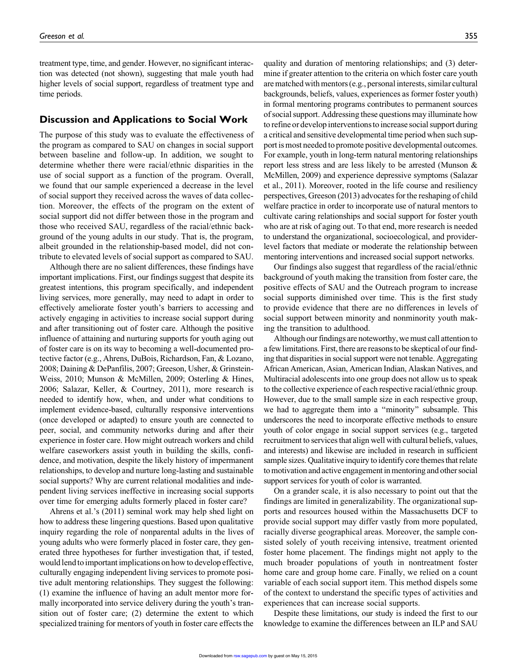treatment type, time, and gender. However, no significant interaction was detected (not shown), suggesting that male youth had higher levels of social support, regardless of treatment type and time periods.

# Discussion and Applications to Social Work

The purpose of this study was to evaluate the effectiveness of the program as compared to SAU on changes in social support between baseline and follow-up. In addition, we sought to determine whether there were racial/ethnic disparities in the use of social support as a function of the program. Overall, we found that our sample experienced a decrease in the level of social support they received across the waves of data collection. Moreover, the effects of the program on the extent of social support did not differ between those in the program and those who received SAU, regardless of the racial/ethnic background of the young adults in our study. That is, the program, albeit grounded in the relationship-based model, did not contribute to elevated levels of social support as compared to SAU.

Although there are no salient differences, these findings have important implications. First, our findings suggest that despite its greatest intentions, this program specifically, and independent living services, more generally, may need to adapt in order to effectively ameliorate foster youth's barriers to accessing and actively engaging in activities to increase social support during and after transitioning out of foster care. Although the positive influence of attaining and nurturing supports for youth aging out of foster care is on its way to becoming a well-documented protective factor (e.g., Ahrens, DuBois, Richardson, Fan, & Lozano, 2008; Daining & DePanfilis, 2007; Greeson, Usher, & Grinstein-Weiss, 2010; Munson & McMillen, 2009; Osterling & Hines, 2006; Salazar, Keller, & Courtney, 2011), more research is needed to identify how, when, and under what conditions to implement evidence-based, culturally responsive interventions (once developed or adapted) to ensure youth are connected to peer, social, and community networks during and after their experience in foster care. How might outreach workers and child welfare caseworkers assist youth in building the skills, confidence, and motivation, despite the likely history of impermanent relationships, to develop and nurture long-lasting and sustainable social supports? Why are current relational modalities and independent living services ineffective in increasing social supports over time for emerging adults formerly placed in foster care?

Ahrens et al.'s (2011) seminal work may help shed light on how to address these lingering questions. Based upon qualitative inquiry regarding the role of nonparental adults in the lives of young adults who were formerly placed in foster care, they generated three hypotheses for further investigation that, if tested, would lend to important implications on how to develop effective, culturally engaging independent living services to promote positive adult mentoring relationships. They suggest the following: (1) examine the influence of having an adult mentor more formally incorporated into service delivery during the youth's transition out of foster care; (2) determine the extent to which specialized training for mentors of youth in foster care effects the

quality and duration of mentoring relationships; and (3) determine if greater attention to the criteria on which foster care youth are matched with mentors (e.g., personal interests, similar cultural backgrounds, beliefs, values, experiences as former foster youth) in formal mentoring programs contributes to permanent sources of social support. Addressing these questions may illuminate how to refine or develop interventionsto increase social support during a critical and sensitive developmental time period when such support is most needed to promote positive developmental outcomes. For example, youth in long-term natural mentoring relationships report less stress and are less likely to be arrested (Munson & McMillen, 2009) and experience depressive symptoms (Salazar et al., 2011). Moreover, rooted in the life course and resiliency perspectives, Greeson (2013) advocates for the reshaping of child welfare practice in order to incorporate use of natural mentors to cultivate caring relationships and social support for foster youth who are at risk of aging out. To that end, more research is needed to understand the organizational, socioecological, and providerlevel factors that mediate or moderate the relationship between mentoring interventions and increased social support networks.

Our findings also suggest that regardless of the racial/ethnic background of youth making the transition from foster care, the positive effects of SAU and the Outreach program to increase social supports diminished over time. This is the first study to provide evidence that there are no differences in levels of social support between minority and nonminority youth making the transition to adulthood.

Although our findings are noteworthy, we must call attention to a few limitations. First, there are reasons to be skeptical of our finding that disparities in social support were not tenable. Aggregating African American, Asian, American Indian, Alaskan Natives, and Multiracial adolescents into one group does not allow us to speak to the collective experience of each respective racial/ethnic group. However, due to the small sample size in each respective group, we had to aggregate them into a ''minority'' subsample. This underscores the need to incorporate effective methods to ensure youth of color engage in social support services (e.g., targeted recruitment to services that align well with cultural beliefs, values, and interests) and likewise are included in research in sufficient sample sizes. Qualitative inquiry to identify core themes that relate to motivation and active engagement in mentoring and other social support services for youth of color is warranted.

On a grander scale, it is also necessary to point out that the findings are limited in generalizability. The organizational supports and resources housed within the Massachusetts DCF to provide social support may differ vastly from more populated, racially diverse geographical areas. Moreover, the sample consisted solely of youth receiving intensive, treatment oriented foster home placement. The findings might not apply to the much broader populations of youth in nontreatment foster home care and group home care. Finally, we relied on a count variable of each social support item. This method dispels some of the context to understand the specific types of activities and experiences that can increase social supports.

Despite these limitations, our study is indeed the first to our knowledge to examine the differences between an ILP and SAU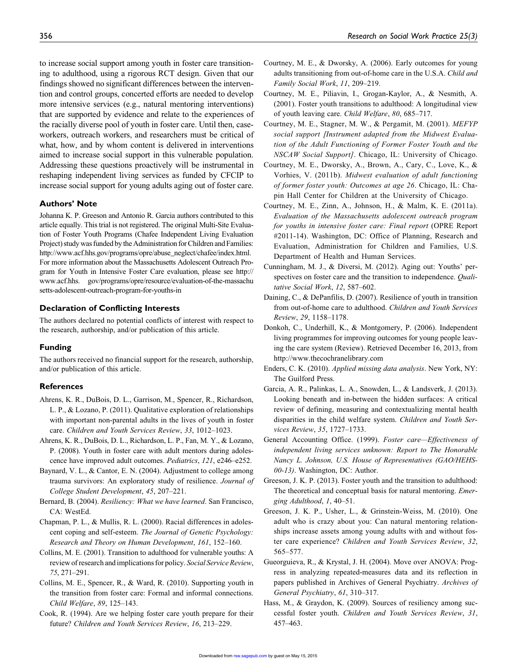to increase social support among youth in foster care transitioning to adulthood, using a rigorous RCT design. Given that our findings showed no significant differences between the intervention and control groups, concerted efforts are needed to develop more intensive services (e.g., natural mentoring interventions) that are supported by evidence and relate to the experiences of the racially diverse pool of youth in foster care. Until then, caseworkers, outreach workers, and researchers must be critical of what, how, and by whom content is delivered in interventions aimed to increase social support in this vulnerable population. Addressing these questions proactively will be instrumental in reshaping independent living services as funded by CFCIP to increase social support for young adults aging out of foster care.

## Authors' Note

Johanna K. P. Greeson and Antonio R. Garcia authors contributed to this article equally. This trial is not registered. The original Multi-Site Evaluation of Foster Youth Programs (Chafee Independent Living Evaluation Project) study was funded by the Administration for Children and Families: http://www.acf.hhs.gov/programs/opre/abuse\_neglect/chafee/index.html. For more information about the Massachusetts Adolescent Outreach Program for Youth in Intensive Foster Care evaluation, please see http:// www.acf.hhs. gov/programs/opre/resource/evaluation-of-the-massachu setts-adolescent-outreach-program-for-youths-in

## Declaration of Conflicting Interests

The authors declared no potential conflicts of interest with respect to the research, authorship, and/or publication of this article.

## Funding

The authors received no financial support for the research, authorship, and/or publication of this article.

## References

- Ahrens, K. R., DuBois, D. L., Garrison, M., Spencer, R., Richardson, L. P., & Lozano, P. (2011). Qualitative exploration of relationships with important non-parental adults in the lives of youth in foster care. Children and Youth Services Review, 33, 1012–1023.
- Ahrens, K. R., DuBois, D. L., Richardson, L. P., Fan, M. Y., & Lozano, P. (2008). Youth in foster care with adult mentors during adolescence have improved adult outcomes. Pediatrics, 121, e246–e252.
- Baynard, V. L., & Cantor, E. N. (2004). Adjustment to college among trauma survivors: An exploratory study of resilience. Journal of College Student Development, 45, 207–221.
- Bernard, B. (2004). Resiliency: What we have learned. San Francisco, CA: WestEd.
- Chapman, P. L., & Mullis, R. L. (2000). Racial differences in adolescent coping and self-esteem. The Journal of Genetic Psychology: Research and Theory on Human Development, 161, 152–160.
- Collins, M. E. (2001). Transition to adulthood for vulnerable youths: A review of research and implications for policy. Social Service Review, 75, 271–291.
- Collins, M. E., Spencer, R., & Ward, R. (2010). Supporting youth in the transition from foster care: Formal and informal connections. Child Welfare, 89, 125–143.
- Cook, R. (1994). Are we helping foster care youth prepare for their future? Children and Youth Services Review, 16, 213–229.
- Courtney, M. E., & Dworsky, A. (2006). Early outcomes for young adults transitioning from out-of-home care in the U.S.A. Child and Family Social Work, 11, 209–219.
- Courtney, M. E., Piliavin, I., Grogan-Kaylor, A., & Nesmith, A. (2001). Foster youth transitions to adulthood: A longitudinal view of youth leaving care. Child Welfare, 80, 685–717.
- Courtney, M. E., Stagner, M. W., & Pergamit, M. (2001). MEFYP social support [Instrument adapted from the Midwest Evaluation of the Adult Functioning of Former Foster Youth and the NSCAW Social Support]. Chicago, IL: University of Chicago.
- Courtney, M. E., Dworsky, A., Brown, A., Cary, C., Love, K., & Vorhies, V. (2011b). Midwest evaluation of adult functioning of former foster youth: Outcomes at age 26. Chicago, IL: Chapin Hall Center for Children at the University of Chicago.
- Courtney, M. E., Zinn, A., Johnson, H., & Malm, K. E. (2011a). Evaluation of the Massachusetts adolescent outreach program for youths in intensive foster care: Final report (OPRE Report #2011-14). Washington, DC: Office of Planning, Research and Evaluation, Administration for Children and Families, U.S. Department of Health and Human Services.
- Cunningham, M. J., & Diversi, M. (2012). Aging out: Youths' perspectives on foster care and the transition to independence. Qualitative Social Work, 12, 587–602.
- Daining, C., & DePanfilis, D. (2007). Resilience of youth in transition from out-of-home care to adulthood. Children and Youth Services Review, 29, 1158–1178.
- Donkoh, C., Underhill, K., & Montgomery, P. (2006). Independent living programmes for improving outcomes for young people leaving the care system (Review). Retrieved December 16, 2013, from http://www.thecochranelibrary.com
- Enders, C. K. (2010). Applied missing data analysis. New York, NY: The Guilford Press.
- Garcia, A. R., Palinkas, L. A., Snowden, L., & Landsverk, J. (2013). Looking beneath and in-between the hidden surfaces: A critical review of defining, measuring and contextualizing mental health disparities in the child welfare system. Children and Youth Services Review, 35, 1727–1733.
- General Accounting Office. (1999). Foster care—Effectiveness of independent living services unknown: Report to The Honorable Nancy L. Johnson, U.S. House of Representatives (GAO/HEHS-00-13). Washington, DC: Author.
- Greeson, J. K. P. (2013). Foster youth and the transition to adulthood: The theoretical and conceptual basis for natural mentoring. Emerging Adulthood, 1, 40–51.
- Greeson, J. K. P., Usher, L., & Grinstein-Weiss, M. (2010). One adult who is crazy about you: Can natural mentoring relationships increase assets among young adults with and without foster care experience? Children and Youth Services Review, 32, 565–577.
- Gueorguieva, R., & Krystal, J. H. (2004). Move over ANOVA: Progress in analyzing repeated-measures data and its reflection in papers published in Archives of General Psychiatry. Archives of General Psychiatry, 61, 310–317.
- Hass, M., & Graydon, K. (2009). Sources of resiliency among successful foster youth. Children and Youth Services Review, 31, 457–463.